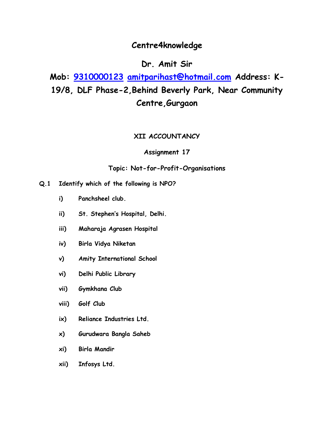### **Centre4knowledge**

### **Dr. Amit Sir**

**Mob: [9310000123](tel:9310000123) [amitparihast@hotmail.com](mailto:amitparihast@hotmail.com) Address: K-19/8, DLF Phase-2,Behind Beverly Park, Near Community Centre,Gurgaon**

#### **XII ACCOUNTANCY**

#### **Assignment 17**

#### **Topic: Not-for-Profit-Organisations**

- **Q.1 Identify which of the following is NPO?**
	- **i) Panchsheel club.**
	- **ii) St. Stephen's Hospital, Delhi.**
	- **iii) Maharaja Agrasen Hospital**
	- **iv) Birla Vidya Niketan**
	- **v) Amity International School**
	- **vi) Delhi Public Library**
	- **vii) Gymkhana Club**
	- **viii) Golf Club**
	- **ix) Reliance Industries Ltd.**
	- **x) Gurudwara Bangla Saheb**
	- **xi) Birla Mandir**
	- **xii) Infosys Ltd.**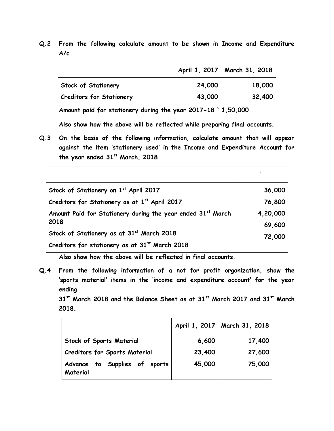**Q.2 From the following calculate amount to be shown in Income and Expenditure A/c** 

|                                 |        | April 1, 2017   March 31, 2018 |
|---------------------------------|--------|--------------------------------|
| Stock of Stationery             | 24,000 | 18,000                         |
| <b>Creditors for Stationery</b> | 43,000 | 32,400                         |

**Amount paid for stationery during the year 2017-18 ` 1,50,000.** 

**Also show how the above will be reflected while preparing final accounts.**

**Q.3 On the basis of the following information, calculate amount that will appear against the item 'stationery used' in the Income and Expenditure Account for the year ended 31st March, 2018**

| Stock of Stationery on 1st April 2017                       | 36,000   |
|-------------------------------------------------------------|----------|
| Creditors for Stationery as at 1st April 2017               | 76,800   |
| Amount Paid for Stationery during the year ended 31st March | 4,20,000 |
| 2018                                                        | 69,600   |
| Stock of Stationery as at 31st March 2018                   | 72,000   |
| Creditors for stationery as at 31st March 2018              |          |

**Also show how the above will be reflected in final accounts.** 

**Q.4 From the following information of a not for profit organization, show the 'sports material' items in the 'income and expenditure account' for the year ending** 

**31st March 2018 and the Balance Sheet as at 31st March 2017 and 31st March 2018.** 

|                                           |        | April 1, 2017   March 31, 2018 |
|-------------------------------------------|--------|--------------------------------|
| <b>Stock of Sports Material</b>           | 6,600  | 17,400                         |
| <b>Creditors for Sports Material</b>      | 23,400 | 27,600                         |
| Advance to Supplies of sports<br>Material | 45,000 | 75,000                         |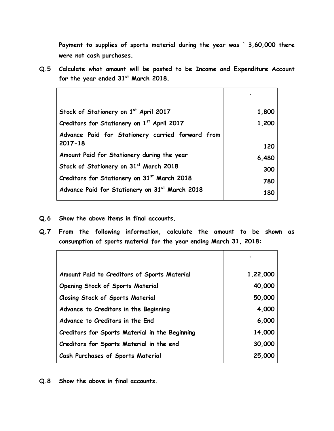**Payment to supplies of sports material during the year was ` 3,60,000 there were not cash purchases.** 

**Q.5 Calculate what amount will be posted to be Income and Expenditure Account for the year ended 31st March 2018.** 

| Stock of Stationery on 1st April 2017                           | 1,800 |
|-----------------------------------------------------------------|-------|
| Creditors for Stationery on 1st April 2017                      | 1,200 |
| Advance Paid for Stationery carried forward from<br>$2017 - 18$ | 120   |
| Amount Paid for Stationery during the year                      | 6,480 |
| Stock of Stationery on 31st March 2018                          | 300   |
| Creditors for Stationery on 31st March 2018                     | 780   |
| Advance Paid for Stationery on 31st March 2018                  | 180   |

- **Q.6 Show the above items in final accounts.**
- **Q.7 From the following information, calculate the amount to be shown as consumption of sports material for the year ending March 31, 2018:**

|                                                | $\overline{\phantom{a}}$ |
|------------------------------------------------|--------------------------|
| Amount Paid to Creditors of Sports Material    | 1,22,000                 |
| <b>Opening Stock of Sports Material</b>        | 40,000                   |
| <b>Closing Stock of Sports Material</b>        | 50,000                   |
| Advance to Creditors in the Beginning          | 4,000                    |
| Advance to Creditors in the End                | 6,000                    |
| Creditors for Sports Material in the Beginning | 14,000                   |
| Creditors for Sports Material in the end       | 30,000                   |
| Cash Purchases of Sports Material              | 25,000                   |

**Q.8 Show the above in final accounts.**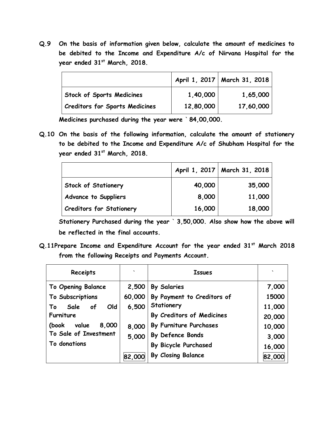**Q.9 On the basis of information given below, calculate the amount of medicines to be debited to the Income and Expenditure A/c of Nirvana Hospital for the year ended 31st March, 2018.**

|                                       |           | April 1, 2017   March 31, 2018 |
|---------------------------------------|-----------|--------------------------------|
| <b>Stock of Sports Medicines</b>      | 1,40,000  | 1,65,000                       |
| <b>Creditors for Sports Medicines</b> | 12,80,000 | 17,60,000                      |

**Medicines purchased during the year were ` 84,00,000.** 

**Q.10 On the basis of the following information, calculate the amount of stationery to be debited to the Income and Expenditure A/c of Shubham Hospital for the year ended 31st March, 2018.** 

|                                 |        | April 1, 2017   March 31, 2018 |
|---------------------------------|--------|--------------------------------|
| <b>Stock of Stationery</b>      | 40,000 | 35,000                         |
| <b>Advance to Suppliers</b>     | 8,000  | 11,000                         |
| <b>Creditors for Stationery</b> | 16,000 | 18,000                         |

**Stationery Purchased during the year ` 3,50,000. Also show how the above will be reflected in the final accounts.**

**Q.11Prepare Income and Expenditure Account for the year ended 31st March 2018 from the following Receipts and Payments Account.** 

| Receipts                | $\cdot$ | <b>Issues</b>               | ヽ      |
|-------------------------|---------|-----------------------------|--------|
| To Opening Balance      | 2,500   | <b>By Salaries</b>          | 7,000  |
| To Subscriptions        | 60,000  | By Payment to Creditors of  | 15000  |
| Sale<br>Old<br>of<br>To | 6,500   | Stationery                  | 11,000 |
| <b>Furniture</b>        |         | By Creditors of Medicines   | 20,000 |
| 8,000<br>value<br>(book | 8,000   | By Furniture Purchases      | 10,000 |
| To Sale of Investment   | 5,000   | By Defence Bonds            | 3,000  |
| To donations            |         | <b>By Bicycle Purchased</b> | 16,000 |
|                         | 82,000  | By Closing Balance          | 82,000 |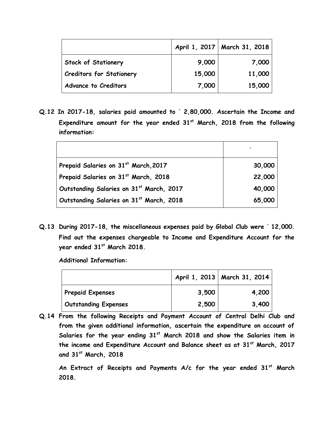|                                 |        | April 1, 2017   March 31, 2018 |
|---------------------------------|--------|--------------------------------|
| <b>Stock of Stationery</b>      | 9,000  | 7,000                          |
| <b>Creditors for Stationery</b> | 15,000 | 11,000                         |
| <b>Advance to Creditors</b>     | 7,000  | 15,000                         |

**Q.12 In 2017-18, salaries paid amounted to ` 2,80,000. Ascertain the Income and Expenditure amount for the year ended 31st March, 2018 from the following information:**

|                                          | $\cdot$ |
|------------------------------------------|---------|
| Prepaid Salaries on 31st March, 2017     | 30,000  |
| Prepaid Salaries on 31st March, 2018     | 22,000  |
| Outstanding Salaries on 31st March, 2017 | 40,000  |
| Outstanding Salaries on 31st March, 2018 | 65,000  |

**Q.13 During 2017-18, the miscellaneous expenses paid by Global Club were ` 12,000. Find out the expenses chargeable to Income and Expenditure Account for the year ended 31st March 2018.** 

**Additional Information:**

|                             |       | April 1, 2013   March 31, 2014 |
|-----------------------------|-------|--------------------------------|
| <b>Prepaid Expenses</b>     | 3,500 | 4,200                          |
| <b>Outstanding Expenses</b> | 2,500 | 3,400                          |

**Q.14 From the following Receipts and Payment Account of Central Delhi Club and from the given additional information, ascertain the expenditure on account of Salaries for the year ending 31st March 2018 and show the Salaries item in the income and Expenditure Account and Balance sheet as at 31st March, 2017 and 31st March, 2018**

**An Extract of Receipts and Payments A/c for the year ended 31st March 2018.**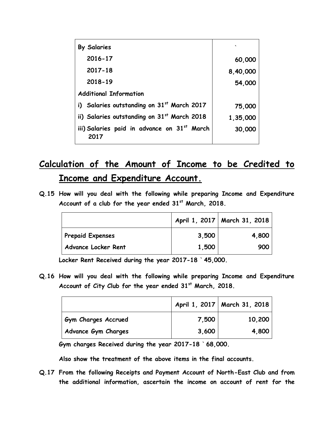| <b>By Salaries</b>                                  |          |
|-----------------------------------------------------|----------|
| 2016-17                                             | 60,000   |
| 2017-18                                             | 8,40,000 |
| 2018-19                                             | 54,000   |
| <b>Additional Information</b>                       |          |
| i) Salaries outstanding on 31st March 2017          | 75,000   |
| ii) Salaries outstanding on 31st March 2018         | 1,35,000 |
| iii) Salaries paid in advance on 31st March<br>2017 | 30,000   |

# **Calculation of the Amount of Income to be Credited to Income and Expenditure Account.**

**Q.15 How will you deal with the following while preparing Income and Expenditure Account of a club for the year ended 31st March, 2018.**

|                         |       | April 1, 2017   March 31, 2018 |
|-------------------------|-------|--------------------------------|
| <b>Prepaid Expenses</b> | 3,500 | 4,800                          |
| Advance Locker Rent     | 1,500 | 900                            |

**Locker Rent Received during the year 2017-18 ` 45,000.**

**Q.16 How will you deal with the following while preparing Income and Expenditure Account of City Club for the year ended 31st March, 2018.**

|                            |       | April 1, 2017   March 31, 2018 |
|----------------------------|-------|--------------------------------|
| <b>Gym Charges Accrued</b> | 7,500 | 10,200                         |
| <b>Advance Gym Charges</b> | 3,600 | 4,800                          |

**Gym charges Received during the year 2017-18 ` 68,000.** 

**Also show the treatment of the above items in the final accounts.** 

**Q.17 From the following Receipts and Payment Account of North-East Club and from the additional information, ascertain the income on account of rent for the**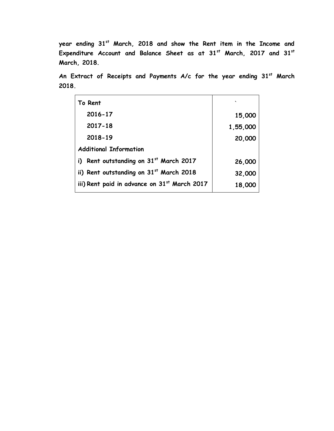**year ending 31st March, 2018 and show the Rent item in the Income and Expenditure Account and Balance Sheet as at 31st March, 2017 and 31st March, 2018.** 

**An Extract of Receipts and Payments A/c for the year ending 31st March 2018.** 

| To Rent                                      |          |
|----------------------------------------------|----------|
| 2016-17                                      | 15,000   |
| $2017 - 18$                                  | 1,55,000 |
| 2018-19                                      | 20,000   |
| <b>Additional Information</b>                |          |
| Rent outstanding on 31st March 2017<br>i)    | 26,000   |
| ii) Rent outstanding on 31st March 2018      | 32,000   |
| iii) Rent paid in advance on 31st March 2017 | 18,000   |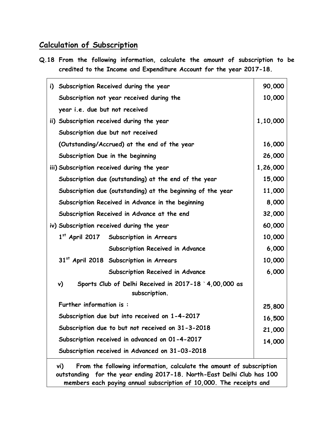## **Calculation of Subscription**

**Q.18 From the following information, calculate the amount of subscription to be credited to the Income and Expenditure Account for the year 2017-18.** 

|                                                   | i) Subscription Received during the year                                     | 90,000   |  |  |
|---------------------------------------------------|------------------------------------------------------------------------------|----------|--|--|
|                                                   | Subscription not year received during the                                    | 10,000   |  |  |
|                                                   | year i.e. due but not received                                               |          |  |  |
|                                                   | ii) Subscription received during the year                                    | 1,10,000 |  |  |
|                                                   | Subscription due but not received                                            |          |  |  |
|                                                   | (Outstanding/Accrued) at the end of the year                                 | 16,000   |  |  |
|                                                   | Subscription Due in the beginning                                            | 26,000   |  |  |
|                                                   | iii) Subscription received during the year                                   | 1,26,000 |  |  |
|                                                   | Subscription due (outstanding) at the end of the year                        | 15,000   |  |  |
|                                                   | Subscription due (outstanding) at the beginning of the year                  | 11,000   |  |  |
|                                                   | Subscription Received in Advance in the beginning                            | 8,000    |  |  |
|                                                   | Subscription Received in Advance at the end                                  | 32,000   |  |  |
|                                                   | iv) Subscription received during the year                                    | 60,000   |  |  |
|                                                   | 1st April 2017 Subscription in Arrears                                       | 10,000   |  |  |
|                                                   | Subscription Received in Advance                                             | 6,000    |  |  |
|                                                   | 31st April 2018 Subscription in Arrears                                      | 10,000   |  |  |
|                                                   | Subscription Received in Advance                                             | 6,000    |  |  |
|                                                   | Sports Club of Delhi Received in 2017-18 '4,00,000 as<br>v)<br>subscription. |          |  |  |
|                                                   | Further information is:                                                      | 25,800   |  |  |
| Subscription due but into received on 1-4-2017    |                                                                              |          |  |  |
| Subscription due to but not received on 31-3-2018 |                                                                              |          |  |  |
| Subscription received in advanced on 01-4-2017    |                                                                              |          |  |  |
|                                                   | Subscription received in Advanced on 31-03-2018                              |          |  |  |
|                                                   | From the following information, calculate the amount of subscription<br>vi)  |          |  |  |

**outstanding for the year ending 2017-18. North-East Delhi Club has 100 members each paying annual subscription of 10,000. The receipts and**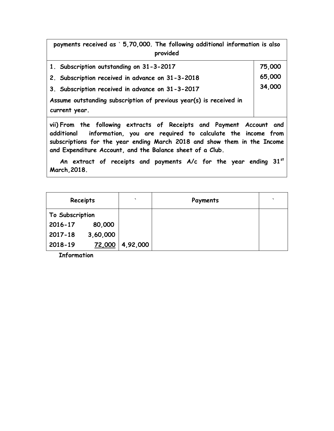**payments received as ` 5,70,000. The following additional information is also provided** 

| 1. Subscription outstanding on 31-3-2017                                                                                                                                                                                                                                               | 75,000 |  |  |
|----------------------------------------------------------------------------------------------------------------------------------------------------------------------------------------------------------------------------------------------------------------------------------------|--------|--|--|
| 2. Subscription received in advance on 31-3-2018                                                                                                                                                                                                                                       | 65,000 |  |  |
| 3. Subscription received in advance on 31-3-2017                                                                                                                                                                                                                                       |        |  |  |
| Assume outstanding subscription of previous year(s) is received in                                                                                                                                                                                                                     |        |  |  |
| current year.                                                                                                                                                                                                                                                                          |        |  |  |
| vii) From the following extracts of Receipts and Payment Account and<br>additional information, you are required to calculate the income from<br>subscriptions for the year ending March 2018 and show them in the Income<br>and Expenditure Account, and the Balance sheet of a Club. |        |  |  |

**An extract of receipts and payments A/c for the year ending 31st March,2018.**

| Receipts        |          | $\overline{\phantom{0}}$ | Payments | $\cdot$ |
|-----------------|----------|--------------------------|----------|---------|
| To Subscription |          |                          |          |         |
| 2016-17         | 80,000   |                          |          |         |
| 2017-18         | 3,60,000 |                          |          |         |
| 2018-19         | 72,000   | 4,92,000                 |          |         |

**Information**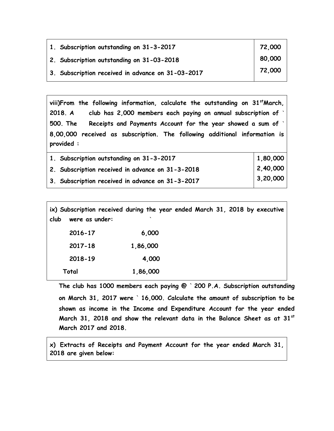| 1. Subscription outstanding on 31-3-2017          | 72,000 |
|---------------------------------------------------|--------|
| 2. Subscription outstanding on 31-03-2018         | 80,000 |
| 3. Subscription received in advance on 31-03-2017 | 72,000 |

**viii)From the following information, calculate the outstanding on 31stMarch, 2018. A club has 2,000 members each paying on annual subscription of ` 500. The Receipts and Payments Account for the year showed a sum of ` 8,00,000 received as subscription. The following additional information is provided :**

| 1. Subscription outstanding on 31-3-2017         | 1,80,000 |
|--------------------------------------------------|----------|
| 2. Subscription received in advance on 31-3-2018 | 2,40,000 |
| 3. Subscription received in advance on 31-3-2017 | 3,20,000 |

**ix) Subscription received during the year ended March 31, 2018 by executive club were as under: `**

| 6,000    | 2016-17 |
|----------|---------|
| 1,86,000 | 2017-18 |
| 4,000    | 2018-19 |
| 1,86,000 | Total   |

**The club has 1000 members each paying @ ` 200 P.A. Subscription outstanding on March 31, 2017 were ` 16,000. Calculate the amount of subscription to be shown as income in the Income and Expenditure Account for the year ended March 31, 2018 and show the relevant data in the Balance Sheet as at 31st March 2017 and 2018.** 

**x) Extracts of Receipts and Payment Account for the year ended March 31, 2018 are given below:**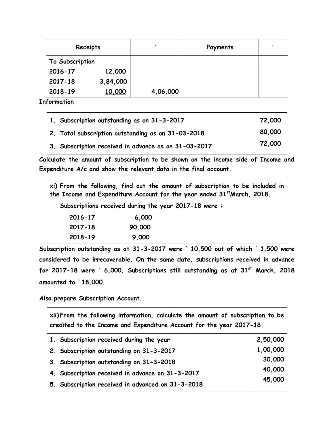| Receipts        |          | $\cdot$  | Payments | $\cdot$ |
|-----------------|----------|----------|----------|---------|
| To Subscription |          |          |          |         |
| 2016-17         | 12,000   |          |          |         |
| $2017 - 18$     | 3,84,000 |          |          |         |
| $2018 - 19$     | 10,000   | 4,06,000 |          |         |

**Information**

| $\vert$ 1. Subscription outstanding as on 31-3-2017          | 72,000 |
|--------------------------------------------------------------|--------|
| 2. Total subscription outstanding as on 31-03-2018           | 80,000 |
| $\vert$ 3. Subscription received in advance as on 31-03-2017 | 72,000 |

**Calculate the amount of subscription to be shown on the income side of Income and Expenditure A/c and show the relevant data in the final account.** 

| xi) From the following, find out the amount of subscription to be included in<br>the Income and Expenditure Account for the year ended 31st March, 2018. |        |  |  |
|----------------------------------------------------------------------------------------------------------------------------------------------------------|--------|--|--|
| Subscriptions received during the year 2017-18 were:                                                                                                     |        |  |  |
| 2016-17                                                                                                                                                  | 6,000  |  |  |
| 2017-18                                                                                                                                                  | 90,000 |  |  |
| 2018-19                                                                                                                                                  | 9,000  |  |  |

**Subscription outstanding as at 31-3-2017 were ` 10,500 out of which ` 1,500 were considered to be irrecoverable. On the same date, subscriptions received in advance for 2017-18 were ` 6,000. Subscriptions still outstanding as at 31st March, 2018 amounted to ` 18,000.**

**Also prepare Subscription Account.**

 $\mathbf{r}$ 

| xii)From the following information, calculate the amount of subscription to be<br>credited to the Income and Expenditure Account for the year 2017-18. |          |  |  |  |
|--------------------------------------------------------------------------------------------------------------------------------------------------------|----------|--|--|--|
| 1. Subscription received during the year                                                                                                               | 2,50,000 |  |  |  |
| 2. Subscription outstanding on 31-3-2017                                                                                                               | 1,00,000 |  |  |  |
| 3. Subscription outstanding on 31-3-2018                                                                                                               | 30,000   |  |  |  |
| 4. Subscription received in advance on 31-3-2017                                                                                                       | 40,000   |  |  |  |
| 5. Subscription received in advanced on 31-3-2018                                                                                                      | 45,000   |  |  |  |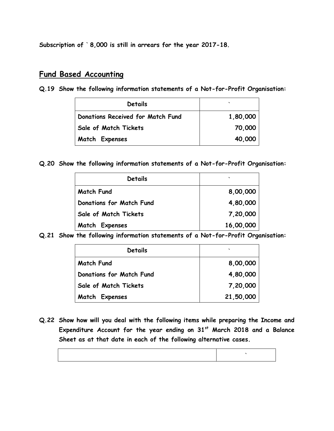**Subscription of ` 8,000 is still in arrears for the year 2017-18.** 

#### **Fund Based Accounting**

**Q.19 Show the following information statements of a Not-for-Profit Organisation:**

| Details                           | $\checkmark$ |
|-----------------------------------|--------------|
| Donations Received for Match Fund | 1,80,000     |
| Sale of Match Tickets             | 70,000       |
| Match Expenses                    | 40,000       |

**Q.20 Show the following information statements of a Not-for-Profit Organisation:**

| Details                         |           |
|---------------------------------|-----------|
| <b>Match Fund</b>               | 8,00,000  |
| <b>Donations for Match Fund</b> | 4,80,000  |
| Sale of Match Tickets           | 7,20,000  |
| Match Expenses                  | 16,00,000 |

**Q.21 Show the following information statements of a Not-for-Profit Organisation:**

| Details                         | $\checkmark$ |
|---------------------------------|--------------|
| <b>Match Fund</b>               | 8,00,000     |
| <b>Donations for Match Fund</b> | 4,80,000     |
| Sale of Match Tickets           | 7,20,000     |
| <b>Match Expenses</b>           | 21,50,000    |

**Q.22 Show how will you deal with the following items while preparing the Income and Expenditure Account for the year ending on 31st March 2018 and a Balance Sheet as at that date in each of the following alternative cases.**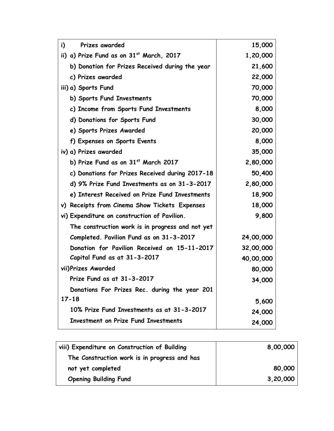| Prizes awarded<br>i)                             | 15,000    |
|--------------------------------------------------|-----------|
| ii) a) Prize Fund as on 31st March, 2017         | 1,20,000  |
| b) Donation for Prizes Received during the year  | 21,600    |
| c) Prizes awarded                                | 22,000    |
| iii) a) Sports Fund                              | 70,000    |
| b) Sports Fund Investments                       | 70,000    |
| c) Income from Sports Fund Investments           | 8,000     |
| d) Donations for Sports Fund                     | 30,000    |
| e) Sports Prizes Awarded                         | 20,000    |
| f) Expenses on Sports Events                     | 8,000     |
| iv) a) Prizes awarded                            | 35,000    |
| b) Prize Fund as on 31st March 2017              | 2,80,000  |
| c) Donations for Prizes Received during 2017-18  | 50,400    |
| d) 9% Prize Fund Investments as on 31-3-2017     | 2,80,000  |
| e) Interest Received on Prize Fund Investments   | 18,900    |
| v) Receipts from Cinema Show Tickets Expenses    | 18,000    |
| vi) Expenditure on construction of Pavilion.     | 9,800     |
| The construction work is in progress and not yet |           |
| Completed. Pavilion Fund as on 31-3-2017         | 24,00,000 |
| Donation for Pavilion Received on 15-11-2017     | 32,00,000 |
| Capital Fund as at 31-3-2017                     | 40,00,000 |
| vii)Prizes Awarded                               | 80,000    |
| Prize Fund as at 31-3-2017                       | 34,000    |
| Donations For Prizes Rec. during the year 201    |           |
| $17 - 18$                                        | 5,600     |
| 10% Prize Fund Investments as at 31-3-2017       | 24,000    |
| <b>Investment on Prize Fund Investments</b>      | 24,000    |

| viii) Expenditure on Construction of Building | 8,00,000 |
|-----------------------------------------------|----------|
| The Construction work is in progress and has  |          |
| not yet completed                             | 80,000   |
| <b>Opening Building Fund</b>                  | 3,20,000 |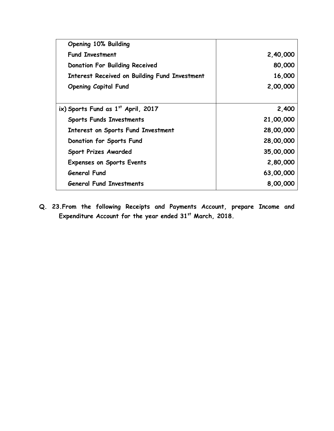| <b>Opening 10% Building</b>                          |           |
|------------------------------------------------------|-----------|
| <b>Fund Investment</b>                               | 2,40,000  |
| <b>Donation For Building Received</b>                | 80,000    |
| <b>Interest Received on Building Fund Investment</b> | 16,000    |
| <b>Opening Capital Fund</b>                          | 2,00,000  |
|                                                      |           |
| ix) Sports Fund as $1st$ April, 2017                 | 2,400     |
| <b>Sports Funds Investments</b>                      | 21,00,000 |
| Interest on Sports Fund Investment                   | 28,00,000 |
| <b>Donation for Sports Fund</b>                      | 28,00,000 |
| <b>Sport Prizes Awarded</b>                          | 35,00,000 |
| <b>Expenses on Sports Events</b>                     | 2,80,000  |
| <b>General Fund</b>                                  | 63,00,000 |
| General Fund Investments                             | 8,00,000  |

**Q. 23.From the following Receipts and Payments Account, prepare Income and Expenditure Account for the year ended 31st March, 2018.**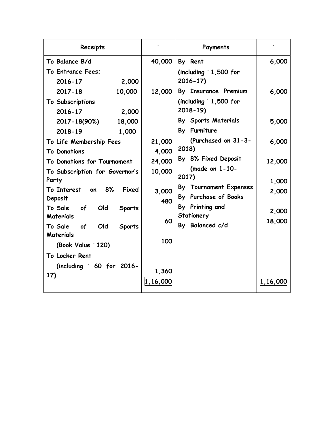| Receipts                                                                                              |                      | Payments                                                              |                 |
|-------------------------------------------------------------------------------------------------------|----------------------|-----------------------------------------------------------------------|-----------------|
| To Balance B/d                                                                                        | 40,000               | By Rent                                                               | 6,000           |
| To Entrance Fees:<br>2,000<br>2016-17                                                                 |                      | (including $\degree$ 1,500 for<br>$2016 - 17$                         |                 |
| 10,000<br>$2017 - 18$<br>To Subscriptions<br>2016-17<br>2,000                                         | 12,000               | By Insurance Premium<br>(including $\degree$ 1,500 for<br>$2018 - 19$ | 6,000           |
| 18,000<br>2017-18(90%)<br>2018-19<br>1,000                                                            |                      | By Sports Materials<br>By Furniture                                   | 5,000           |
| To Life Membership Fees<br><b>To Donations</b>                                                        | 21,000<br>4,000      | (Purchased on 31-3-<br>2018)                                          | 6,000           |
| To Donations for Tournament<br>To Subscription for Governor's<br>Party                                | 24,000<br>10,000     | By 8% Fixed Deposit<br>(made on $1-10-$<br>2017)                      | 12,000<br>1,000 |
| To Interest on 8%<br>Fixed<br>Deposit                                                                 | 3,000<br>480         | By Tournament Expenses<br>By Purchase of Books                        | 2,000           |
| To Sale of<br>Old<br><b>Sports</b><br>Materials<br>To Sale<br>of<br>Old<br><b>Sports</b><br>Materials | 60                   | By Printing and<br>Stationery<br>By Balanced c/d                      | 2,000<br>18,000 |
| (Book Value `120)<br>To Locker Rent                                                                   | 100                  |                                                                       |                 |
| (including $\degree$ 60 for 2016-<br>17)                                                              | 1,360<br> 1, 16, 000 |                                                                       | 1,16,000        |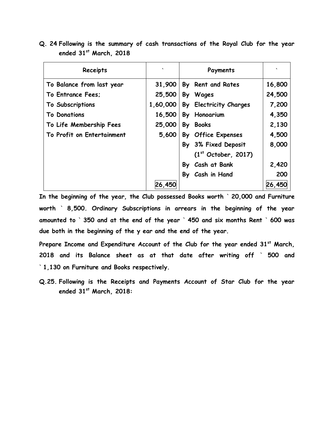| Q. 24 Following is the summary of cash transactions of the Royal Club for the year |  |  |  |  |  |  |
|------------------------------------------------------------------------------------|--|--|--|--|--|--|
| ended $31st$ March, 2018                                                           |  |  |  |  |  |  |

| Receipts                   | $\checkmark$ | Payments                        |        |
|----------------------------|--------------|---------------------------------|--------|
| To Balance from last year  | 31,900       | By Rent and Rates               | 16,800 |
| To Entrance Fees:          | 25,500       | By Wages                        | 24,500 |
| To Subscriptions           | 1,60,000     | By Electricity Charges          | 7,200  |
| <b>To Donations</b>        | 16,500       | By Honoarium                    | 4,350  |
| To Life Membership Fees    | 25,000       | By Books                        | 2,130  |
| To Profit on Entertainment | 5,600        | By Office Expenses              | 4,500  |
|                            |              | By 3% Fixed Deposit             | 8,000  |
|                            |              | (1 <sup>st</sup> October, 2017) |        |
|                            |              | By Cash at Bank                 | 2,420  |
|                            |              | By Cash in Hand                 | 200    |
|                            | 26,450       |                                 | 26,450 |

**In the beginning of the year, the Club possessed Books worth ` 20,000 and Furniture worth ` 8,500. Ordinary Subscriptions in arrears in the beginning of the year amounted to ` 350 and at the end of the year ` 450 and six months Rent ` 600 was due both in the beginning of the y ear and the end of the year.** 

**Prepare Income and Expenditure Account of the Club for the year ended 31st March, 2018 and its Balance sheet as at that date after writing off ` 500 and ` 1,130 on Furniture and Books respectively.** 

**Q.25. Following is the Receipts and Payments Account of Star Club for the year ended 31st March, 2018:**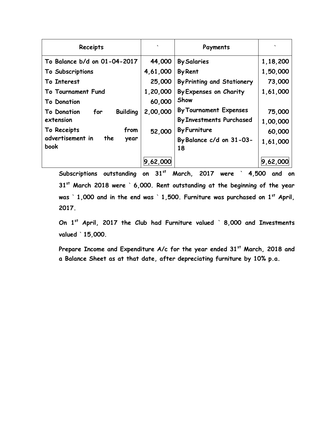| Receipts                                     |          | Payments                          |          |
|----------------------------------------------|----------|-----------------------------------|----------|
| To Balance b/d on 01-04-2017                 | 44,000   | <b>By Salaries</b>                | 1,18,200 |
| To Subscriptions                             | 4,61,000 | <b>By Rent</b>                    | 1,50,000 |
| To Interest                                  | 25,000   | <b>By Printing and Stationery</b> | 73,000   |
| To Tournament Fund                           | 1,20,000 | By Expenses on Charity            | 1,61,000 |
| To Donation                                  | 60,000   | Show                              |          |
| <b>Building</b><br>for<br><b>To Donation</b> | 2,00,000 | <b>By Tournament Expenses</b>     | 75,000   |
| extension                                    |          | <b>By Investments Purchased</b>   | 1,00,000 |
| from<br>To Receipts                          | 52,000   | <b>By Furniture</b>               | 60,000   |
| advertisement in<br>the<br>year<br>book      |          | By Balance c/d on 31-03-<br>18    | 1,61,000 |
|                                              | 9,62,000 |                                   | 9,62,000 |

**Subscriptions outstanding on 31st March, 2017 were ` 4,500 and on 31st March 2018 were ` 6,000. Rent outstanding at the beginning of the year was ` 1,000 and in the end was ` 1,500. Furniture was purchased on 1st April, 2017.** 

**On 1st April, 2017 the Club had Furniture valued ` 8,000 and Investments valued ` 15,000.** 

**Prepare Income and Expenditure A/c for the year ended 31st March, 2018 and a Balance Sheet as at that date, after depreciating furniture by 10% p.a.**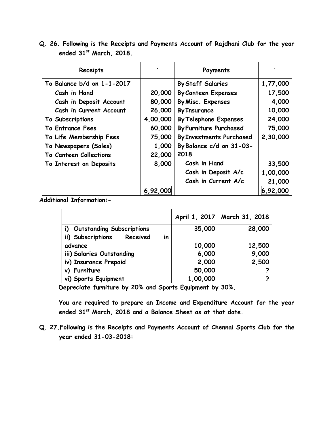**Q. 26. Following is the Receipts and Payments Account of Rajdhani Club for the year ended 31st March, 2018.**

| Receipts                   |          | Payments                        |          |
|----------------------------|----------|---------------------------------|----------|
| To Balance b/d on 1-1-2017 |          | <b>By Staff Salaries</b>        | 1,77,000 |
| Cash in Hand               | 20,000   | <b>By Canteen Expenses</b>      | 17,500   |
| Cash in Deposit Account    | 80,000   | By Misc. Expenses               | 4,000    |
| Cash in Current Account    | 26,000   | <b>By Insurance</b>             | 10,000   |
| To Subscriptions           | 4,00,000 | <b>By Telephone Expenses</b>    | 24,000   |
| <b>To Entrance Fees</b>    | 60,000   | <b>By Furniture Purchased</b>   | 75,000   |
| To Life Membership Fees    | 75,000   | <b>By Investments Purchased</b> | 2,30,000 |
| To Newspapers (Sales)      | 1,000    | By Balance c/d on 31-03-        |          |
| To Canteen Collections     | 22,000   | 2018                            |          |
| To Interest on Deposits    | 8,000    | Cash in Hand                    | 33,500   |
|                            |          | Cash in Deposit A/c             | 1,00,000 |
|                            |          | Cash in Current A/c             | 21,000   |
|                            | 6,92,000 |                                 | 6,92,000 |

**Additional Information:-**

|                                     |          | April 1, 2017   March 31, 2018 |
|-------------------------------------|----------|--------------------------------|
| i) Outstanding Subscriptions        | 35,000   | 28,000                         |
| Received<br>ii) Subscriptions<br>in |          |                                |
| advance                             | 10,000   | 12,500                         |
| iii) Salaries Outstanding           | 6,000    | 9,000                          |
| iv) Insurance Prepaid               | 2,000    | 2,500                          |
| v) Furniture                        | 50,000   |                                |
| vi) Sports Equipment                | 1,00,000 |                                |

**Depreciate furniture by 20% and Sports Equipment by 30%.** 

**You are required to prepare an Income and Expenditure Account for the year ended 31st March, 2018 and a Balance Sheet as at that date.** 

**Q. 27.Following is the Receipts and Payments Account of Chennai Sports Club for the year ended 31-03-2018:**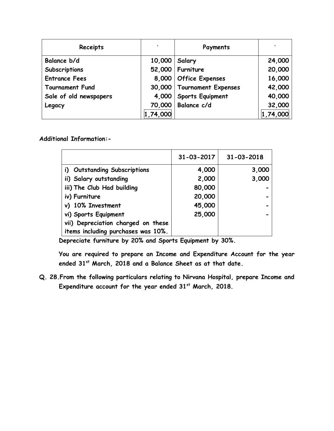| Receipts               | $\overline{\phantom{a}}$ | Payments                     |          |
|------------------------|--------------------------|------------------------------|----------|
| Balance b/d            | 10,000                   | Salary                       | 24,000   |
| Subscriptions          |                          | 52,000   Furniture           | 20,000   |
| <b>Entrance Fees</b>   |                          | 8,000   Office Expenses      | 16,000   |
| <b>Tournament Fund</b> |                          | 30,000   Tournament Expenses | 42,000   |
| Sale of old newspapers | 4,000                    | Sports Equipment             | 40,000   |
| Legacy                 | 70,000                   | Balance c/d                  | 32,000   |
|                        | 1,74,000                 |                              | 1,74,000 |

**Additional Information:-**

|                                    | $31 - 03 - 2017$ | $31 - 03 - 2018$ |
|------------------------------------|------------------|------------------|
| i) Outstanding Subscriptions       | 4,000            | 3,000            |
| ii) Salary outstanding             | 2,000            | 3,000            |
| iii) The Club Had building         | 80,000           |                  |
| iv) Furniture                      | 20,000           |                  |
| v) 10% Investment                  | 45,000           |                  |
| vi) Sports Equipment               | 25,000           |                  |
| vii) Depreciation charged on these |                  |                  |
| items including purchases was 10%. |                  |                  |

**Depreciate furniture by 20% and Sports Equipment by 30%.** 

**You are required to prepare an Income and Expenditure Account for the year ended 31st March, 2018 and a Balance Sheet as at that date.** 

**Q. 28.From the following particulars relating to Nirvana Hospital, prepare Income and Expenditure account for the year ended 31st March, 2018.**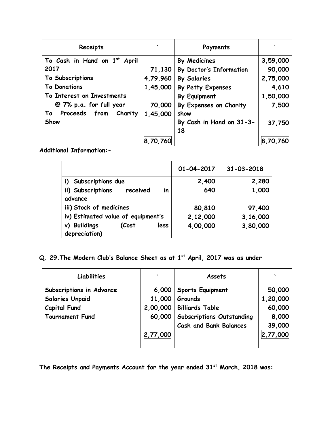| Receipts                              | $\tilde{\phantom{a}}$ | Payments                 |          |
|---------------------------------------|-----------------------|--------------------------|----------|
| To Cash in Hand on 1st<br>April       |                       | By Medicines             | 3,59,000 |
| 2017                                  | 71,130                | By Doctor's Information  | 90,000   |
| To Subscriptions                      | 4,79,960              | <b>By Salaries</b>       | 2,75,000 |
| <b>To Donations</b>                   | 1,45,000              | By Petty Expenses        | 4,610    |
| To Interest on Investments            |                       | By Equipment             | 1,50,000 |
| @ 7% p.a. for full year               | 70,000                | By Expenses on Charity   | 7,500    |
| Proceeds from<br>Charity<br><b>To</b> | 1,45,000              | show                     |          |
| Show                                  |                       | By Cash in Hand on 31-3- | 37,750   |
|                                       |                       | 18                       |          |
|                                       | 8,70,760              |                          | 8,70,760 |

**Additional Information:-**

|                                                | $01 - 04 - 2017$ | 31-03-2018 |
|------------------------------------------------|------------------|------------|
| i) Subscriptions due                           | 2,400            | 2,280      |
| ii) Subscriptions<br>in<br>received<br>advance | 640              | 1,000      |
| iii) Stock of medicines                        | 80,810           | 97,400     |
| iv) Estimated value of equipment's             | 2,12,000         | 3,16,000   |
| v) Buildings<br>(Cost<br>less<br>depreciation) | 4,00,000         | 3,80,000   |

# **Q. 29.The Modern Club's Balance Sheet as at 1st April, 2017 was as under**

| Liabilities              | $\overline{\phantom{a}}$ | Assets                           |          |
|--------------------------|--------------------------|----------------------------------|----------|
| Subscriptions in Advance | 6,000                    | Sports Equipment                 | 50,000   |
| <b>Salaries Unpaid</b>   | 11,000                   | Grounds                          | 1,20,000 |
| <b>Capital Fund</b>      | 2,00,000                 | <b>Billiards Table</b>           | 60,000   |
| <b>Tournament Fund</b>   |                          | 60,000 Subscriptions Outstanding | 8,000    |
|                          |                          | <b>Cash and Bank Balances</b>    | 39,000   |
|                          | 2,77,000                 |                                  | 2,77,000 |
|                          |                          |                                  |          |

**The Receipts and Payments Account for the year ended 31st March, 2018 was:**